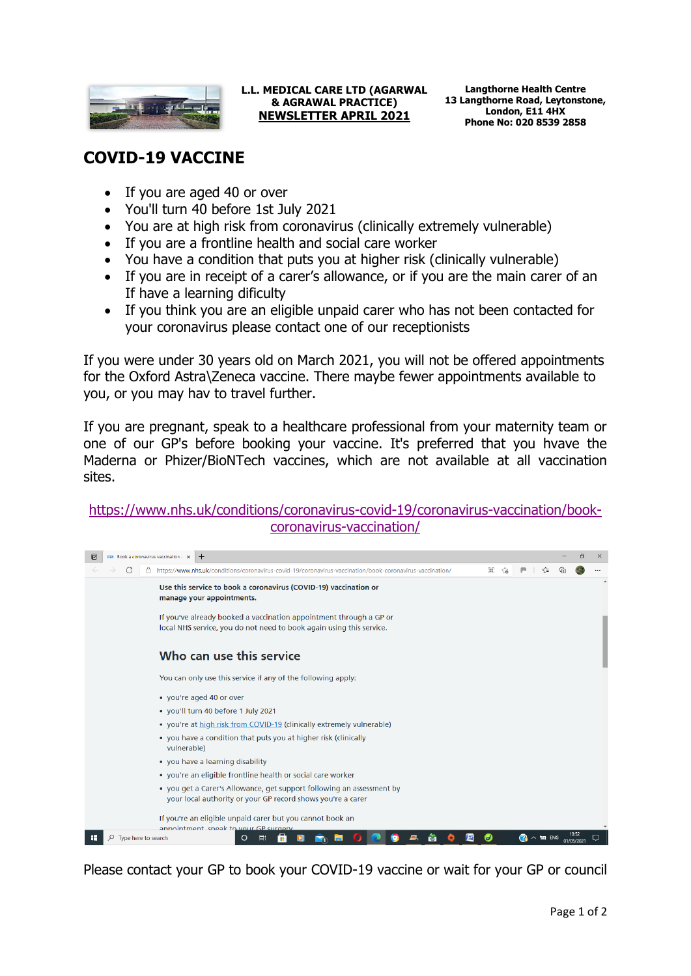

## **L.L. MEDICAL CARE LTD (AGARWAL & AGRAWAL PRACTICE) NEWSLETTER APRIL 2021**

## **COVID-19 VACCINE**

- If you are aged 40 or over
- You'll turn 40 before 1st July 2021
- You are at high risk from coronavirus (clinically extremely vulnerable)
- If you are a frontline health and social care worker
- You have a condition that puts you at higher risk (clinically vulnerable)
- If you are in receipt of a carer's allowance, or if you are the main carer of an If have a learning dificulty
- If you think you are an eligible unpaid carer who has not been contacted for your coronavirus please contact one of our receptionists

If you were under 30 years old on March 2021, you will not be offered appointments for the Oxford Astra\Zeneca vaccine. There maybe fewer appointments available to you, or you may hav to travel further.

If you are pregnant, speak to a healthcare professional from your maternity team or one of our GP's before booking your vaccine. It's preferred that you hvave the Maderna or Phizer/BioNTech vaccines, which are not available at all vaccination sites.

## [https://www.nhs.uk/conditions/coronavirus-covid-19/coronavirus-vaccination/book](https://www.nhs.uk/conditions/coronavirus-covid-19/coronavirus-vaccination/book-coronavirus-vaccination/)[coronavirus-vaccination/](https://www.nhs.uk/conditions/coronavirus-covid-19/coronavirus-vaccination/book-coronavirus-vaccination/)



Please contact your GP to book your COVID-19 vaccine or wait for your GP or council